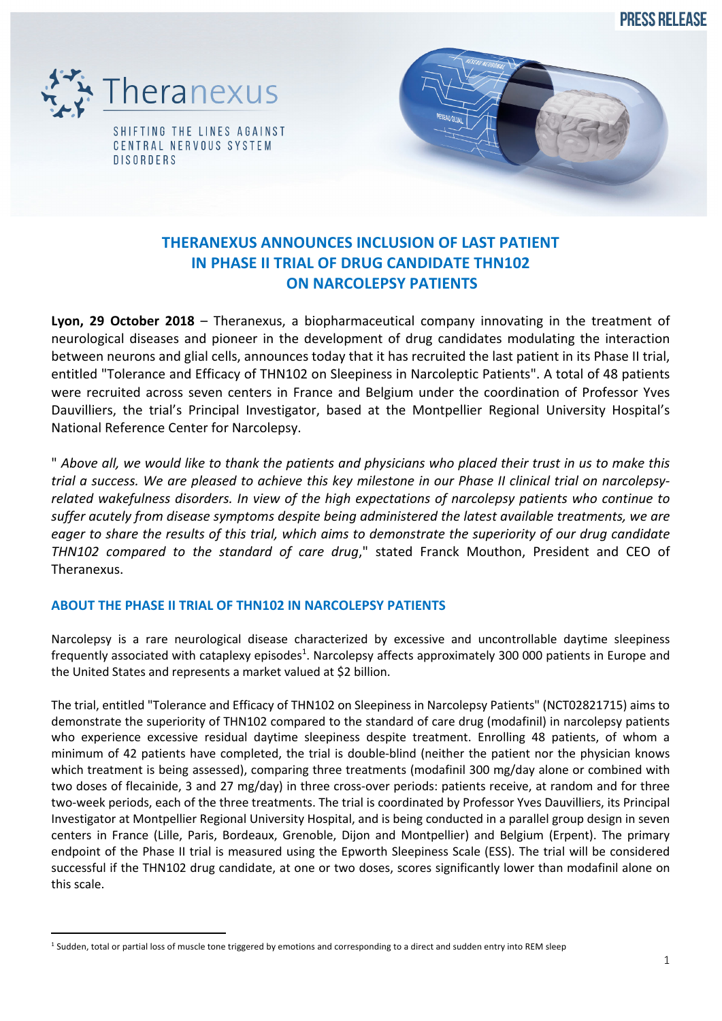**PRESS RELEASE** 





# **THERANEXUS ANNOUNCES INCLUSION OF LAST PATIENT IN PHASE II TRIAL OF DRUG CANDIDATE THN102 ON NARCOLEPSY PATIENTS**

**Lyon, 29 October 2018** – Theranexus, a biopharmaceutical company innovating in the treatment of neurological diseases and pioneer in the development of drug candidates modulating the interaction between neurons and glial cells, announces today that it has recruited the last patient in its Phase II trial, entitled "Tolerance and Efficacy of THN102 on Sleepiness in Narcoleptic Patients". A total of 48 patients were recruited across seven centers in France and Belgium under the coordination of Professor Yves Dauvilliers, the trial's Principal Investigator, based at the Montpellier Regional University Hospital's National Reference Center for Narcolepsy.

" *Above all, we would like to thank the patients and physicians who placed their trust in us to make this trial a success. We are pleased to achieve this key milestone in our Phase II clinical trial on narcolepsyrelated wakefulness disorders. In view of the high expectations of narcolepsy patients who continue to suffer acutely from disease symptoms despite being administered the latest available treatments, we are eager to share the results of this trial, which aims to demonstrate the superiority of our drug candidate THN102 compared to the standard of care drug*," stated Franck Mouthon, President and CEO of Theranexus.

## **ABOUT THE PHASE II TRIAL OF THN102 IN NARCOLEPSY PATIENTS**

Narcolepsy is a rare neurological disease characterized by excessive and uncontrollable daytime sleepiness frequently associated with cataplexy episodes<sup>1</sup>. Narcolepsy affects approximately 300 000 patients in Europe and the United States and represents a market valued at \$2 billion.

The trial, entitled "Tolerance and Efficacy of THN102 on Sleepiness in Narcolepsy Patients" (NCT02821715) aims to demonstrate the superiority of THN102 compared to the standard of care drug (modafinil) in narcolepsy patients who experience excessive residual daytime sleepiness despite treatment. Enrolling 48 patients, of whom a minimum of 42 patients have completed, the trial is double-blind (neither the patient nor the physician knows which treatment is being assessed), comparing three treatments (modafinil 300 mg/day alone or combined with two doses of flecainide, 3 and 27 mg/day) in three cross-over periods: patients receive, at random and for three two-week periods, each of the three treatments. The trial is coordinated by Professor Yves Dauvilliers, its Principal Investigator at Montpellier Regional University Hospital, and is being conducted in a parallel group design in seven centers in France (Lille, Paris, Bordeaux, Grenoble, Dijon and Montpellier) and Belgium (Erpent). The primary endpoint of the Phase II trial is measured using the Epworth Sleepiness Scale (ESS). The trial will be considered successful if the THN102 drug candidate, at one or two doses, scores significantly lower than modafinil alone on this scale.

<sup>&</sup>lt;sup>1</sup> Sudden, total or partial loss of muscle tone triggered by emotions and corresponding to a direct and sudden entry into REM sleep